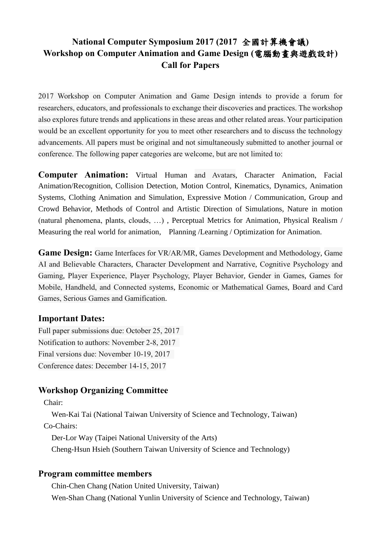## **National Computer Symposium 2017 (2017** 全國計算機會議**) Workshop on Computer Animation and Game Design (**電腦動畫與遊戲設計**) Call for Papers**

2017 Workshop on Computer Animation and Game Design intends to provide a forum for researchers, educators, and professionals to exchange their discoveries and practices. The workshop also explores future trends and applications in these areas and other related areas. Your participation would be an excellent opportunity for you to meet other researchers and to discuss the technology advancements. All papers must be original and not simultaneously submitted to another journal or conference. The following paper categories are welcome, but are not limited to:

**Computer Animation:** Virtual Human and Avatars, Character Animation, Facial Animation/Recognition, Collision Detection, Motion Control, Kinematics, Dynamics, Animation Systems, Clothing Animation and Simulation, Expressive Motion / Communication, Group and Crowd Behavior, Methods of Control and Artistic Direction of Simulations, Nature in motion (natural phenomena, plants, clouds, …) , Perceptual Metrics for Animation, Physical Realism / Measuring the real world for animation, Planning /Learning / Optimization for Animation.

**Game Design:** Game Interfaces for VR/AR/MR, Games Development and Methodology, Game AI and Believable Characters, Character Development and Narrative, Cognitive Psychology and Gaming, Player Experience, Player Psychology, Player Behavior, Gender in Games, Games for Mobile, Handheld, and Connected systems, Economic or Mathematical Games, Board and Card Games, Serious Games and Gamification.

## **Important Dates:**

Full paper submissions due: October 25, 2017 Notification to authors: November 2-8, 2017 Final versions due: November 10-19, 2017 Conference dates: December 14-15, 2017

## **Workshop Organizing Committee**

Chair:

Wen-Kai Tai (National Taiwan University of Science and Technology, Taiwan) Co-Chairs:

Der-Lor Way (Taipei National University of the Arts)

Cheng-Hsun Hsieh (Southern Taiwan University of Science and Technology)

## **Program committee members**

Chin-Chen Chang (Nation United University, Taiwan) Wen-Shan Chang (National Yunlin University of Science and Technology, Taiwan)